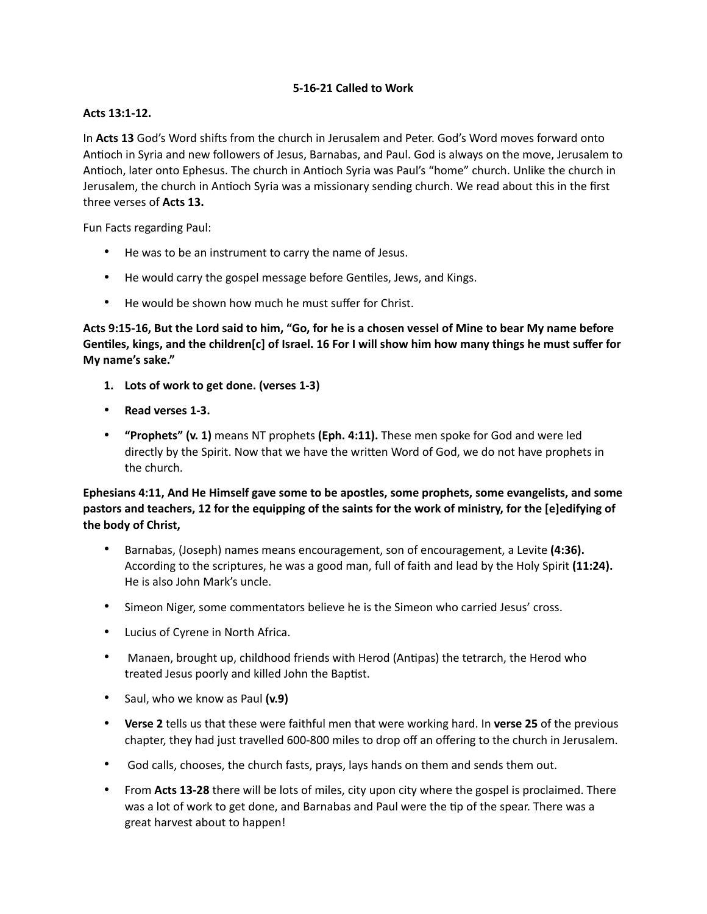## **5-16-21 Called to Work**

#### **Acts 13:1-12.**

In Acts 13 God's Word shifts from the church in Jerusalem and Peter. God's Word moves forward onto Antioch in Syria and new followers of Jesus, Barnabas, and Paul. God is always on the move, Jerusalem to Antioch, later onto Ephesus. The church in Antioch Syria was Paul's "home" church. Unlike the church in Jerusalem, the church in Antioch Syria was a missionary sending church. We read about this in the first three verses of **Acts 13.**

Fun Facts regarding Paul:

- He was to be an instrument to carry the name of Jesus.
- He would carry the gospel message before Gentiles, Jews, and Kings.
- He would be shown how much he must suffer for Christ.

**Acts 9:15-16, But the Lord said to him, "Go, for he is a chosen vessel of Mine to bear My name before GenGles, kings, and the children[c] of Israel. 16 For I will show him how many things he must suffer for My name's sake."** 

- **1. Lots of work to get done. (verses 1-3)**
- **Read verses 1-3.**
- **"Prophets" (v. 1)** means NT prophets **(Eph. 4:11).** These men spoke for God and were led directly by the Spirit. Now that we have the written Word of God, we do not have prophets in the church.

**Ephesians 4:11, And He Himself gave some to be apostles, some prophets, some evangelists, and some pastors and teachers, 12 for the equipping of the saints for the work of ministry, for the [e]edifying of the body of Christ,** 

- Barnabas, (Joseph) names means encouragement, son of encouragement, a Levite **(4:36).** According to the scriptures, he was a good man, full of faith and lead by the Holy Spirit **(11:24).** He is also John Mark's uncle.
- Simeon Niger, some commentators believe he is the Simeon who carried Jesus' cross.
- Lucius of Cyrene in North Africa.
- Manaen, brought up, childhood friends with Herod (Antipas) the tetrarch, the Herod who treated Jesus poorly and killed John the Baptist.
- Saul, who we know as Paul **(v.9)**
- **Verse 2** tells us that these were faithful men that were working hard. In **verse 25** of the previous chapter, they had just travelled 600-800 miles to drop off an offering to the church in Jerusalem.
- God calls, chooses, the church fasts, prays, lays hands on them and sends them out.
- From **Acts 13-28** there will be lots of miles, city upon city where the gospel is proclaimed. There was a lot of work to get done, and Barnabas and Paul were the tip of the spear. There was a great harvest about to happen!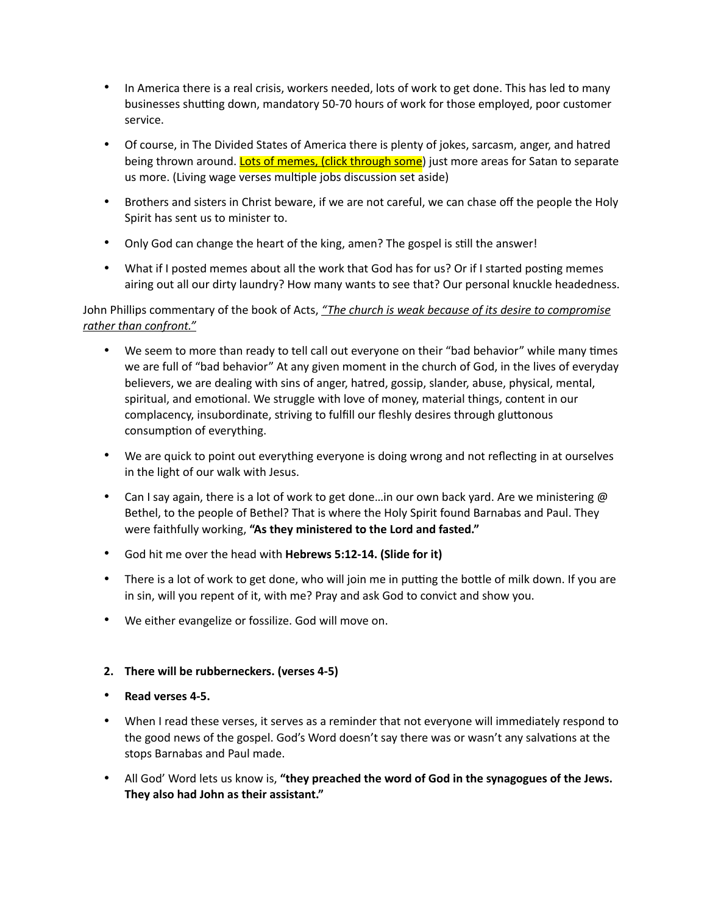- In America there is a real crisis, workers needed, lots of work to get done. This has led to many businesses shutting down, mandatory 50-70 hours of work for those employed, poor customer service.
- Of course, in The Divided States of America there is plenty of jokes, sarcasm, anger, and hatred being thrown around. Lots of memes, (click through some) just more areas for Satan to separate us more. (Living wage verses multiple jobs discussion set aside)
- Brothers and sisters in Christ beware, if we are not careful, we can chase off the people the Holy Spirit has sent us to minister to.
- Only God can change the heart of the king, amen? The gospel is still the answer!
- What if I posted memes about all the work that God has for us? Or if I started posting memes airing out all our dirty laundry? How many wants to see that? Our personal knuckle headedness.

# John Phillips commentary of the book of Acts, *"The church is weak because of its desire to compromise rather than confront."*

- We seem to more than ready to tell call out everyone on their "bad behavior" while many times we are full of "bad behavior" At any given moment in the church of God, in the lives of everyday believers, we are dealing with sins of anger, hatred, gossip, slander, abuse, physical, mental, spiritual, and emotional. We struggle with love of money, material things, content in our complacency, insubordinate, striving to fulfill our fleshly desires through gluttonous consumption of everything.
- We are quick to point out everything everyone is doing wrong and not reflecting in at ourselves in the light of our walk with Jesus.
- Can I say again, there is a lot of work to get done...in our own back yard. Are we ministering @ Bethel, to the people of Bethel? That is where the Holy Spirit found Barnabas and Paul. They were faithfully working, **"As they ministered to the Lord and fasted."**
- God hit me over the head with **Hebrews 5:12-14. (Slide for it)**
- There is a lot of work to get done, who will join me in putting the bottle of milk down. If you are in sin, will you repent of it, with me? Pray and ask God to convict and show you.
- We either evangelize or fossilize. God will move on.

### **2. There will be rubberneckers. (verses 4-5)**

- **Read verses 4-5.**
- When I read these verses, it serves as a reminder that not everyone will immediately respond to the good news of the gospel. God's Word doesn't say there was or wasn't any salvations at the stops Barnabas and Paul made.
- All God' Word lets us know is, **"they preached the word of God in the synagogues of the Jews. They also had John as their assistant."**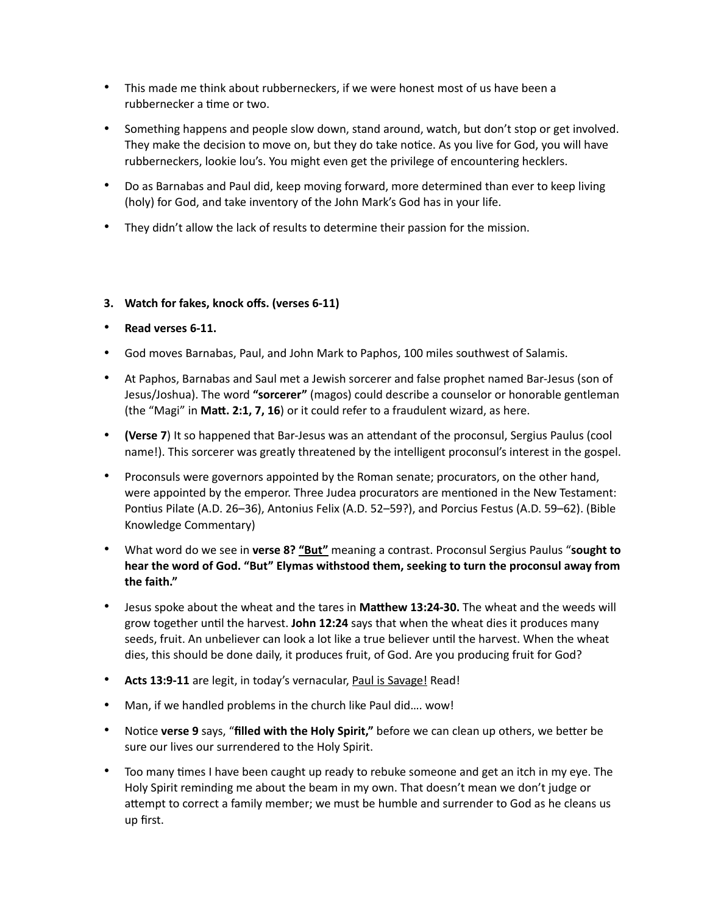- This made me think about rubberneckers, if we were honest most of us have been a rubbernecker a time or two.
- Something happens and people slow down, stand around, watch, but don't stop or get involved. They make the decision to move on, but they do take notice. As you live for God, you will have rubberneckers, lookie lou's. You might even get the privilege of encountering hecklers.
- Do as Barnabas and Paul did, keep moving forward, more determined than ever to keep living (holy) for God, and take inventory of the John Mark's God has in your life.
- They didn't allow the lack of results to determine their passion for the mission.

### **3. Watch for fakes, knock offs. (verses 6-11)**

- **Read verses 6-11.**
- God moves Barnabas, Paul, and John Mark to Paphos, 100 miles southwest of Salamis.
- At Paphos, Barnabas and Saul met a Jewish sorcerer and false prophet named Bar-Jesus (son of Jesus/Joshua). The word **"sorcerer"** (magos) could describe a counselor or honorable gentleman (the "Magi" in Matt. 2:1, 7, 16) or it could refer to a fraudulent wizard, as here.
- **(Verse 7)** It so happened that Bar-Jesus was an attendant of the proconsul, Sergius Paulus (cool name!). This sorcerer was greatly threatened by the intelligent proconsul's interest in the gospel.
- Proconsuls were governors appointed by the Roman senate; procurators, on the other hand, were appointed by the emperor. Three Judea procurators are mentioned in the New Testament: Pontius Pilate (A.D. 26–36), Antonius Felix (A.D. 52–59?), and Porcius Festus (A.D. 59–62). (Bible Knowledge Commentary)
- What word do we see in **verse 8? "But"** meaning a contrast. Proconsul Sergius Paulus "**sought to hear the word of God. "But" Elymas withstood them, seeking to turn the proconsul away from the faith."**
- Jesus spoke about the wheat and the tares in Matthew 13:24-30. The wheat and the weeds will grow together until the harvest. **John 12:24** says that when the wheat dies it produces many seeds, fruit. An unbeliever can look a lot like a true believer until the harvest. When the wheat dies, this should be done daily, it produces fruit, of God. Are you producing fruit for God?
- **Acts 13:9-11** are legit, in today's vernacular, Paul is Savage! Read!
- Man, if we handled problems in the church like Paul did…. wow!
- Notice verse 9 says, "filled with the Holy Spirit," before we can clean up others, we better be sure our lives our surrendered to the Holy Spirit.
- Too many times I have been caught up ready to rebuke someone and get an itch in my eye. The Holy Spirit reminding me about the beam in my own. That doesn't mean we don't judge or attempt to correct a family member; we must be humble and surrender to God as he cleans us up first.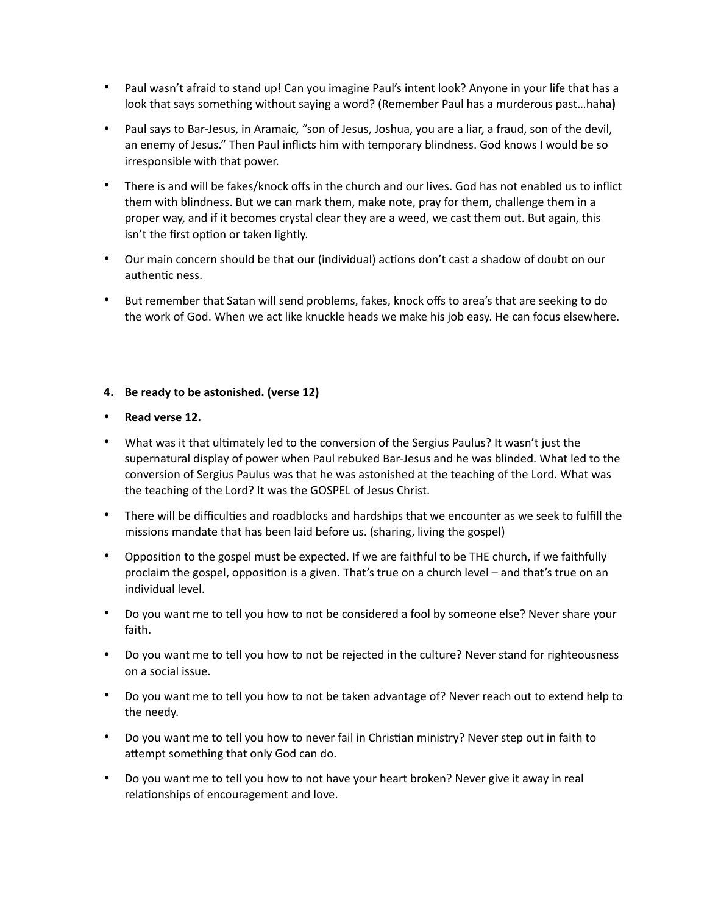- Paul wasn't afraid to stand up! Can you imagine Paul's intent look? Anyone in your life that has a look that says something without saying a word? (Remember Paul has a murderous past…haha**)**
- Paul says to Bar-Jesus, in Aramaic, "son of Jesus, Joshua, you are a liar, a fraud, son of the devil, an enemy of Jesus." Then Paul inflicts him with temporary blindness. God knows I would be so irresponsible with that power.
- There is and will be fakes/knock offs in the church and our lives. God has not enabled us to inflict them with blindness. But we can mark them, make note, pray for them, challenge them in a proper way, and if it becomes crystal clear they are a weed, we cast them out. But again, this isn't the first option or taken lightly.
- Our main concern should be that our (individual) actions don't cast a shadow of doubt on our authentic ness.
- But remember that Satan will send problems, fakes, knock offs to area's that are seeking to do the work of God. When we act like knuckle heads we make his job easy. He can focus elsewhere.

### **4. Be ready to be astonished. (verse 12)**

### • **Read verse 12.**

- What was it that ultimately led to the conversion of the Sergius Paulus? It wasn't just the supernatural display of power when Paul rebuked Bar-Jesus and he was blinded. What led to the conversion of Sergius Paulus was that he was astonished at the teaching of the Lord. What was the teaching of the Lord? It was the GOSPEL of Jesus Christ.
- There will be difficulties and roadblocks and hardships that we encounter as we seek to fulfill the missions mandate that has been laid before us. (sharing, living the gospel)
- Opposition to the gospel must be expected. If we are faithful to be THE church, if we faithfully proclaim the gospel, opposition is a given. That's true on a church level – and that's true on an individual level.
- Do you want me to tell you how to not be considered a fool by someone else? Never share your faith.
- Do you want me to tell you how to not be rejected in the culture? Never stand for righteousness on a social issue.
- Do you want me to tell you how to not be taken advantage of? Never reach out to extend help to the needy.
- Do you want me to tell you how to never fail in Christian ministry? Never step out in faith to attempt something that only God can do.
- Do you want me to tell you how to not have your heart broken? Never give it away in real relationships of encouragement and love.